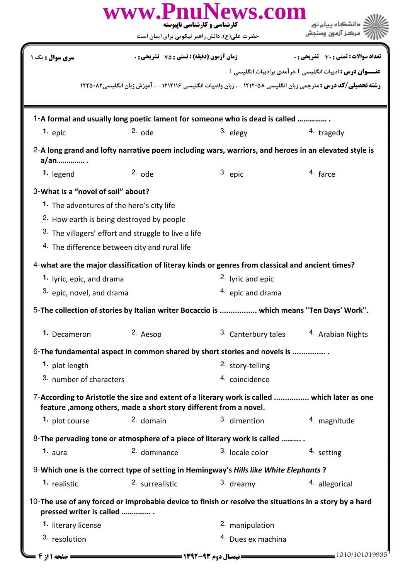|                                                                                                                                         | حضرت علی(ع): دانش راهبر نیکویی برای ایمان است                                                                    | www.PnuNews.com<br>کارشناسی و کارشناسی نایتوسته                                                                        |                                                           |
|-----------------------------------------------------------------------------------------------------------------------------------------|------------------------------------------------------------------------------------------------------------------|------------------------------------------------------------------------------------------------------------------------|-----------------------------------------------------------|
| سری سوال : یک ۱                                                                                                                         | <b>زمان آزمون (دقیقه) : تستی : 75 ٪ تشریحی : 0</b>                                                               |                                                                                                                        | <b>تعداد سوالات : تستی : 30 ٪ تشریحی : 0</b>              |
|                                                                                                                                         |                                                                                                                  | <b>رشته تحصیلی/کد درس :</b> مترجمی زبان انگلیسی ۱۲۱۲۰۵۸ - ، زبان وادبیات انگلیسی ۱۲۱۲۱۱۶ - ، آموزش زبان انگلیسی۱۲۲۵۰۸۲ | عنـــوان درس : ادبیات انگلیسی 1.درآمدی برادبیات انگلیسی 1 |
|                                                                                                                                         |                                                                                                                  | 1-A formal and usually long poetic lament for someone who is dead is called                                            |                                                           |
| $1.$ epic                                                                                                                               | $2.$ ode                                                                                                         | 3. elegy                                                                                                               | 4. tragedy                                                |
| a/an                                                                                                                                    |                                                                                                                  | 2-A long grand and lofty narrative poem including wars, warriors, and heroes in an elevated style is                   |                                                           |
| 1. legend                                                                                                                               | $2.$ ode                                                                                                         | 3. epic                                                                                                                | 4. farce                                                  |
| 3-What is a "novel of soil" about?<br>1. The adventures of the hero's city life<br><sup>2.</sup> How earth is being destroyed by people | 3. The villagers' effort and struggle to live a life<br><sup>4.</sup> The difference between city and rural life |                                                                                                                        |                                                           |
|                                                                                                                                         |                                                                                                                  | 4-what are the major classification of literay kinds or genres from classical and ancient times?                       |                                                           |
| 1. lyric, epic, and drama                                                                                                               |                                                                                                                  | <sup>2.</sup> lyric and epic                                                                                           |                                                           |
| 3. epic, novel, and drama                                                                                                               |                                                                                                                  | <sup>4</sup> epic and drama                                                                                            |                                                           |
|                                                                                                                                         |                                                                                                                  | 5-The collection of stories by Italian writer Bocaccio is  which means "Ten Days' Work".                               |                                                           |
| 1. Decameron                                                                                                                            | 2. Aesop                                                                                                         | 3. Canterbury tales                                                                                                    | <sup>4.</sup> Arabian Nights                              |
|                                                                                                                                         |                                                                                                                  | 6-The fundamental aspect in common shared by short stories and novels is                                               |                                                           |
| 1. plot length                                                                                                                          |                                                                                                                  | 2. story-telling                                                                                                       |                                                           |
| 3. number of characters                                                                                                                 |                                                                                                                  | 4. coincidence                                                                                                         |                                                           |
|                                                                                                                                         | feature, among others, made a short story different from a novel.                                                | 7-According to Aristotle the size and extent of a literary work is called  which later as one                          |                                                           |
| 1. plot course                                                                                                                          | $2.$ domain                                                                                                      | 3. dimention                                                                                                           | 4. magnitude                                              |
|                                                                                                                                         |                                                                                                                  | 8-The pervading tone or atmosphere of a piece of literary work is called                                               |                                                           |
| 1. $_{\text{aura}}$                                                                                                                     | <sup>2.</sup> dominance                                                                                          | 3. locale color                                                                                                        | 4. setting                                                |
|                                                                                                                                         |                                                                                                                  | 9-Which one is the correct type of setting in Hemingway's Hills like White Elephants?                                  |                                                           |
| 1. realistic                                                                                                                            | 2. surrealistic                                                                                                  | 3. dreamy                                                                                                              | 4. allegorical                                            |
| pressed writer is called                                                                                                                |                                                                                                                  | 10-The use of any forced or improbable device to finish or resolve the situations in a story by a hard                 |                                                           |
| 1. literary license                                                                                                                     |                                                                                                                  | 2. manipulation                                                                                                        |                                                           |
| 3. resolution                                                                                                                           |                                                                                                                  | <sup>4.</sup> Dues ex machina                                                                                          |                                                           |
|                                                                                                                                         |                                                                                                                  |                                                                                                                        | $-1010/101019935$                                         |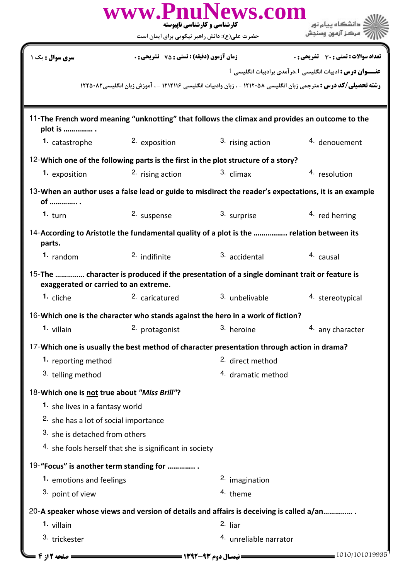|                                                  | www.PnuNews.com<br>کارشناسی و کارشناسی نایبوسته<br>حضرت علی(ع): دانش راهبر نیکویی برای ایمان است |                             |                                                                                                                        |
|--------------------------------------------------|--------------------------------------------------------------------------------------------------|-----------------------------|------------------------------------------------------------------------------------------------------------------------|
| سری سوال : یک ۱                                  | <b>زمان آزمون (دقیقه) : تستی : 75 ٪ تشریحی : 0</b>                                               |                             | <b>تعداد سوالات : تستی : 30 ٪ تشریحی : 0</b>                                                                           |
|                                                  |                                                                                                  |                             | عنـــوان درس : ادبیات انگلیسی 1،درآمدی برادبیات انگلیسی 1                                                              |
|                                                  |                                                                                                  |                             | <b>رشته تحصیلی/کد درس :</b> مترجمی زبان انگلیسی ۱۲۱۲۰۵۸ - ، زبان وادبیات انگلیسی ۱۲۱۲۱۱۶ - ، آموزش زبان انگلیسی۱۲۲۵۰۸۲ |
| plot is                                          | 11-The French word meaning "unknotting" that follows the climax and provides an outcome to the   |                             |                                                                                                                        |
| 1. catastrophe                                   | 2. exposition                                                                                    | 3. rising action            | 4. denouement                                                                                                          |
|                                                  | 12-Which one of the following parts is the first in the plot structure of a story?               |                             |                                                                                                                        |
| 1. exposition                                    | 2. rising action                                                                                 | $3.$ climax                 | 4. resolution                                                                                                          |
| of  .                                            |                                                                                                  |                             | 13-When an author uses a false lead or guide to misdirect the reader's expectations, it is an example                  |
| 1. $turn$                                        | 2. suspense                                                                                      | 3. surprise                 | $4.$ red herring                                                                                                       |
| parts.                                           | 14-According to Aristotle the fundamental quality of a plot is the  relation between its         |                             |                                                                                                                        |
| 1. random                                        | $2.$ indifinite                                                                                  | 3. accidental               | <sup>4.</sup> causal                                                                                                   |
| exaggerated or carried to an extreme.            | 15-The  character is produced if the presentation of a single dominant trait or feature is       |                             |                                                                                                                        |
| 1. cliche                                        | <sup>2.</sup> caricatured                                                                        | <sup>3.</sup> unbelivable   | 4. stereotypical                                                                                                       |
|                                                  | 16-Which one is the character who stands against the hero in a work of fiction?                  |                             |                                                                                                                        |
| 1. villain                                       | 2. protagonist                                                                                   | 3. heroine                  | 4. any character                                                                                                       |
|                                                  | 17-Which one is usually the best method of character presentation through action in drama?       |                             |                                                                                                                        |
| 1. reporting method                              |                                                                                                  | <sup>2.</sup> direct method |                                                                                                                        |
| 3. telling method                                |                                                                                                  | 4. dramatic method          |                                                                                                                        |
| 18-Which one is not true about "Miss Brill"?     |                                                                                                  |                             |                                                                                                                        |
| 1. she lives in a fantasy world                  |                                                                                                  |                             |                                                                                                                        |
| <sup>2.</sup> she has a lot of social importance |                                                                                                  |                             |                                                                                                                        |
| 3. she is detached from others                   |                                                                                                  |                             |                                                                                                                        |
|                                                  | <sup>4.</sup> she fools herself that she is significant in society                               |                             |                                                                                                                        |
|                                                  | 19-"Focus" is another term standing for                                                          |                             |                                                                                                                        |
| 1. emotions and feelings                         |                                                                                                  | 2. imagination              |                                                                                                                        |
| 3. point of view                                 |                                                                                                  | 4. theme                    |                                                                                                                        |
|                                                  | 20-A speaker whose views and version of details and affairs is deceiving is called a/an          |                             |                                                                                                                        |
| 1. villain                                       |                                                                                                  | $2.$ liar                   |                                                                                                                        |
| 3. trickester                                    |                                                                                                  | 4. unreliable narrator      |                                                                                                                        |
| = صفحه 2 از 4 <b>=</b>                           |                                                                                                  |                             | $= 1010/101019935$                                                                                                     |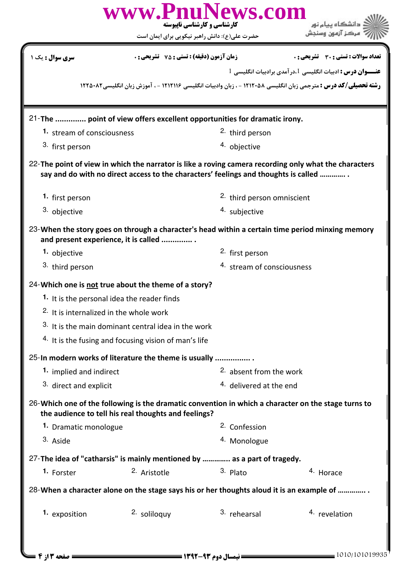|                                                                                                     | حضرت علی(ع): دانش راهبر نیکویی برای ایمان است                    | www.PnuNews.com<br>کارشناسی و کارشناسی ناپیوسته                                                     |                                                                                                                        |  |  |
|-----------------------------------------------------------------------------------------------------|------------------------------------------------------------------|-----------------------------------------------------------------------------------------------------|------------------------------------------------------------------------------------------------------------------------|--|--|
| <mark>سری سوال :</mark> یک ۱                                                                        | <b>زمان آزمون (دقیقه) : تستی : 75 ٪ تشریحی : 0</b>               |                                                                                                     | تعداد سوالات : تستي : 30 ٪ تشريحي : 0                                                                                  |  |  |
|                                                                                                     |                                                                  |                                                                                                     | عنـــوان درس : ادبیات انگلیسی 1.درآمدی برادبیات انگلیسی 1                                                              |  |  |
|                                                                                                     |                                                                  |                                                                                                     | <b>رشته تحصیلی/کد درس :</b> مترجمی زبان انگلیسی ۱۲۱۲۰۵۸ - ، زبان وادبیات انگلیسی ۱۲۱۲۱۱۶ - ، آموزش زبان انگلیسی۱۲۲۵۰۸۲ |  |  |
|                                                                                                     |                                                                  | 21-The  point of view offers excellent opportunities for dramatic irony.                            |                                                                                                                        |  |  |
| 1. stream of consciousness                                                                          |                                                                  | <sup>2.</sup> third person                                                                          |                                                                                                                        |  |  |
| 3. first person                                                                                     |                                                                  | 4. objective                                                                                        |                                                                                                                        |  |  |
|                                                                                                     |                                                                  | say and do with no direct access to the characters' feelings and thoughts is called                 | 22-The point of view in which the narrator is like a roving camera recording only what the characters                  |  |  |
| 1. first person                                                                                     |                                                                  |                                                                                                     | <sup>2.</sup> third person omniscient                                                                                  |  |  |
| 3. objective                                                                                        |                                                                  | 4. subjective                                                                                       |                                                                                                                        |  |  |
| 1. objective<br>3. third person                                                                     | and present experience, it is called                             | <sup>2.</sup> first person<br>4. stream of consciousness                                            | 23-When the story goes on through a character's head within a certain time period minxing memory                       |  |  |
|                                                                                                     |                                                                  |                                                                                                     |                                                                                                                        |  |  |
| 24-Which one is not true about the theme of a story?<br>1. It is the personal idea the reader finds |                                                                  |                                                                                                     |                                                                                                                        |  |  |
| <sup>2.</sup> It is internalized in the whole work                                                  |                                                                  |                                                                                                     |                                                                                                                        |  |  |
|                                                                                                     | 3. It is the main dominant central idea in the work              |                                                                                                     |                                                                                                                        |  |  |
|                                                                                                     | <sup>4.</sup> It is the fusing and focusing vision of man's life |                                                                                                     |                                                                                                                        |  |  |
|                                                                                                     |                                                                  |                                                                                                     |                                                                                                                        |  |  |
| 25-In modern works of literature the theme is usually                                               |                                                                  |                                                                                                     |                                                                                                                        |  |  |
| 1. implied and indirect                                                                             |                                                                  | <sup>2.</sup> absent from the work                                                                  |                                                                                                                        |  |  |
| 3. direct and explicit                                                                              |                                                                  | <sup>4.</sup> delivered at the end                                                                  |                                                                                                                        |  |  |
|                                                                                                     | the audience to tell his real thoughts and feelings?             | 26-Which one of the following is the dramatic convention in which a character on the stage turns to |                                                                                                                        |  |  |
| 1. Dramatic monologue                                                                               |                                                                  | <sup>2.</sup> Confession                                                                            |                                                                                                                        |  |  |
| 3. Aside                                                                                            |                                                                  | <sup>4.</sup> Monologue                                                                             |                                                                                                                        |  |  |
|                                                                                                     |                                                                  | 27-The idea of "catharsis" is mainly mentioned by  as a part of tragedy.                            |                                                                                                                        |  |  |
| 1. Forster                                                                                          | <sup>2.</sup> Aristotle                                          | 3. Plato                                                                                            | 4. Horace                                                                                                              |  |  |
|                                                                                                     |                                                                  | 28-When a character alone on the stage says his or her thoughts aloud it is an example of           |                                                                                                                        |  |  |
| 1. exposition                                                                                       | 2. soliloguy                                                     | 3. rehearsal                                                                                        | 4. revelation                                                                                                          |  |  |